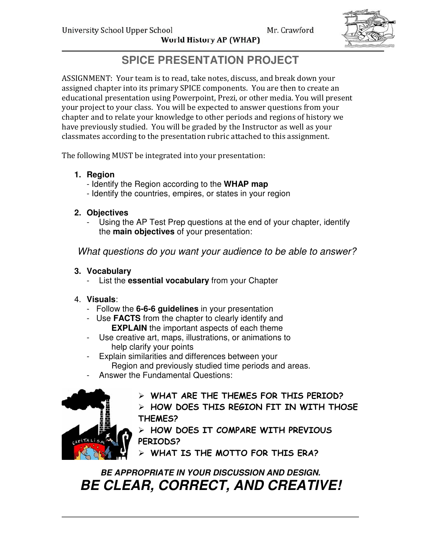

World History AP (WHAP)

# **SPICE PRESENTATION PROJECT**

ASSIGNMENT: Your team is to read, take notes, discuss, and break down your assigned chapter into its primary SPICE components. You are then to create an educational presentation using Powerpoint, Prezi, or other media. You will present your project to your class. You will be expected to answer questions from your chapter and to relate your knowledge to other periods and regions of history we have previously studied. You will be graded by the Instructor as well as your classmates according to the presentation rubric attached to this assignment.

The following MUST be integrated into your presentation:

- **1. Region** 
	- Identify the Region according to the **WHAP map**
	- Identify the countries, empires, or states in your region

#### **2. Objectives**

Using the AP Test Prep questions at the end of your chapter, identify the **main objectives** of your presentation:

What questions do you want your audience to be able to answer?

#### **3. Vocabulary**

List the **essential vocabulary** from your Chapter

### 4. **Visuals**:

- Follow the **6-6-6 guidelines** in your presentation
- Use **FACTS** from the chapter to clearly identify and **EXPLAIN** the important aspects of each theme
- Use creative art, maps, illustrations, or animations to help clarify your points
- Explain similarities and differences between your Region and previously studied time periods and areas.
- Answer the Fundamental Questions:



- WHAT ARE THE THEMES FOR THIS PERIOD?
- HOW DOES THIS REGION FIT IN WITH THOSE THEMES?
- $\triangleright$  HOW DOES IT COMPARE WITH PREVIOUS PERIODS?
- WHAT IS THE MOTTO FOR THIS ERA?

# **BE APPROPRIATE IN YOUR DISCUSSION AND DESIGN. BE CLEAR, CORRECT, AND CREATIVE!**